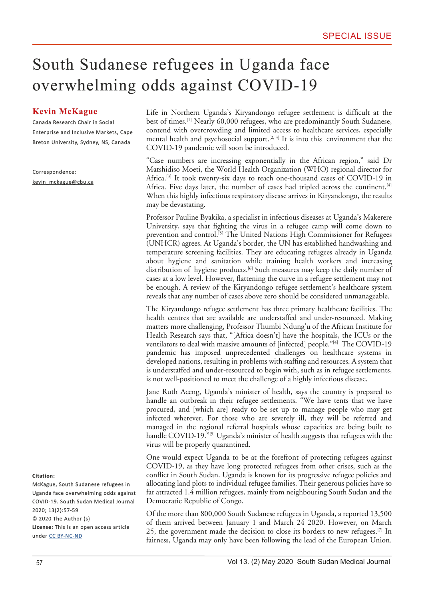## South Sudanese refugees in Uganda face overwhelming odds against COVID-19

## **Kevin McKague**

Canada Research Chair in Social Enterprise and Inclusive Markets, Cape Breton University, Sydney, NS, Canada

Correspondence: kevin\_mckague@cbu.ca Life in Northern Uganda's Kiryandongo refugee settlement is difficult at the best of times.[1] Nearly 60,000 refugees, who are predominantly South Sudanese, contend with overcrowding and limited access to healthcare services, especially mental health and psychosocial support.<sup>[2, 3]</sup> It is into this environment that the COVID-19 pandemic will soon be introduced.

"Case numbers are increasing exponentially in the African region," said Dr Matshidiso Moeti, the World Health Organization (WHO) regional director for Africa.<sup>[3]</sup> It took twenty-six days to reach one-thousand cases of COVID-19 in Africa. Five days later, the number of cases had tripled across the continent.<sup>[4]</sup> When this highly infectious respiratory disease arrives in Kiryandongo, the results may be devastating.

Professor Pauline Byakika, a specialist in infectious diseases at Uganda's Makerere University, says that fghting the virus in a refugee camp will come down to prevention and control.<sup>[5]</sup> The United Nations High Commissioner for Refugees (UNHCR) agrees. At Uganda's border, the UN has established handwashing and temperature screening facilities. They are educating refugees already in Uganda about hygiene and sanitation while training health workers and increasing distribution of hygiene products.<sup>[6]</sup> Such measures may keep the daily number of cases at a low level. However, fattening the curve in a refugee settlement may not be enough. A review of the Kiryandongo refugee settlement's healthcare system reveals that any number of cases above zero should be considered unmanageable.

The Kiryandongo refugee settlement has three primary healthcare facilities. The health centres that are available are understaffed and under-resourced. Making matters more challenging, Professor Thumbi Ndung'u of the African Institute for Health Research says that, "[Africa doesn't] have the hospitals, the ICUs or the ventilators to deal with massive amounts of [infected] people."<sup>[4]</sup> The COVID-19 pandemic has imposed unprecedented challenges on healthcare systems in developed nations, resulting in problems with staffng and resources. A system that is understaffed and under-resourced to begin with, such as in refugee settlements, is not well-positioned to meet the challenge of a highly infectious disease.

Jane Ruth Aceng, Uganda's minister of health, says the country is prepared to handle an outbreak in their refugee settlements. "We have tents that we have procured, and [which are] ready to be set up to manage people who may get infected wherever. For those who are severely ill, they will be referred and managed in the regional referral hospitals whose capacities are being built to handle COVID-19.<sup>"[5]</sup> Uganda's minister of health suggests that refugees with the virus will be properly quarantined.

One would expect Uganda to be at the forefront of protecting refugees against COVID-19, as they have long protected refugees from other crises, such as the confict in South Sudan. Uganda is known for its progressive refugee policies and allocating land plots to individual refugee families. Their generous policies have so far attracted 1.4 million refugees, mainly from neighbouring South Sudan and the Democratic Republic of Congo.

Of the more than 800,000 South Sudanese refugees in Uganda, a reported 13,500 of them arrived between January 1 and March 24 2020. However, on March 25, the government made the decision to close its borders to new refugees.<sup>[7]</sup> In fairness, Uganda may only have been following the lead of the European Union.

## **Citation:**

McKague, South Sudanese refugees in Uganda face overwhelming odds against COVID-19. South Sudan Medical Journal 2020; 13(2):57-59 © 2020 The Author (s) **License:** This is an open access article under [CC BY-NC-ND](https://creativecommons.org/licenses/by-nc/4.0/)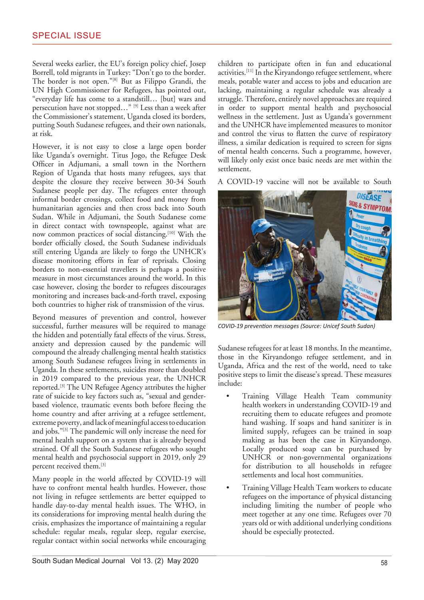Several weeks earlier, the EU's foreign policy chief, Josep Borrell, told migrants in Turkey: "Don't go to the border. The border is not open."[8] But as Filippo Grandi, the UN High Commissioner for Refugees, has pointed out, "everyday life has come to a standstill… [but] wars and persecution have not stopped…" [9] Less than a week after the Commissioner's statement, Uganda closed its borders, putting South Sudanese refugees, and their own nationals, at risk.

However, it is not easy to close a large open border like Uganda's overnight. Titus Jogo, the Refugee Desk Officer in Adjumani, a small town in the Northern Region of Uganda that hosts many refugees, says that despite the closure they receive between 30-34 South Sudanese people per day. The refugees enter through informal border crossings, collect food and money from humanitarian agencies and then cross back into South Sudan. While in Adjumani, the South Sudanese come in direct contact with townspeople, against what are now common practices of social distancing.[10] With the border officially closed, the South Sudanese individuals still entering Uganda are likely to forgo the UNHCR's disease monitoring efforts in fear of reprisals. Closing borders to non-essential travellers is perhaps a positive measure in most circumstances around the world. In this case however, closing the border to refugees discourages monitoring and increases back-and-forth travel, exposing both countries to higher risk of transmission of the virus.

Beyond measures of prevention and control, however successful, further measures will be required to manage the hidden and potentially fatal effects of the virus. Stress, anxiety and depression caused by the pandemic will compound the already challenging mental health statistics among South Sudanese refugees living in settlements in Uganda. In these settlements, suicides more than doubled in 2019 compared to the previous year, the UNHCR reported.[3] The UN Refugee Agency attributes the higher rate of suicide to key factors such as, "sexual and genderbased violence, traumatic events both before feeing the home country and after arriving at a refugee settlement, extreme poverty, and lack of meaningful access to education and jobs."[3] The pandemic will only increase the need for mental health support on a system that is already beyond strained. Of all the South Sudanese refugees who sought mental health and psychosocial support in 2019, only 29 percent received them.[3]

Many people in the world affected by COVID-19 will have to confront mental health hurdles. However, those not living in refugee settlements are better equipped to handle day-to-day mental health issues. The WHO, in its considerations for improving mental health during the crisis, emphasizes the importance of maintaining a regular schedule: regular meals, regular sleep, regular exercise, regular contact within social networks while encouraging children to participate often in fun and educational activities.[11] In the Kiryandongo refugee settlement, where meals, potable water and access to jobs and education are lacking, maintaining a regular schedule was already a struggle. Therefore, entirely novel approaches are required in order to support mental health and psychosocial wellness in the settlement. Just as Uganda's government and the UNHCR have implemented measures to monitor and control the virus to fatten the curve of respiratory illness, a similar dedication is required to screen for signs of mental health concerns. Such a programme, however, will likely only exist once basic needs are met within the settlement.

A COVID-19 vaccine will not be available to South



*COVID-19 preventon messages (Source: Unicef South Sudan)*

Sudanese refugees for at least 18 months. In the meantime, those in the Kiryandongo refugee settlement, and in Uganda, Africa and the rest of the world, need to take positive steps to limit the disease's spread. These measures include:

- Training Village Health Team community health workers in understanding COVID-19 and recruiting them to educate refugees and promote hand washing. If soaps and hand sanitizer is in limited supply, refugees can be trained in soap making as has been the case in Kiryandongo. Locally produced soap can be purchased by UNHCR or non-governmental organizations for distribution to all households in refugee settlements and local host communities.
- Training Village Health Team workers to educate refugees on the importance of physical distancing including limiting the number of people who meet together at any one time. Refugees over 70 years old or with additional underlying conditions should be especially protected.